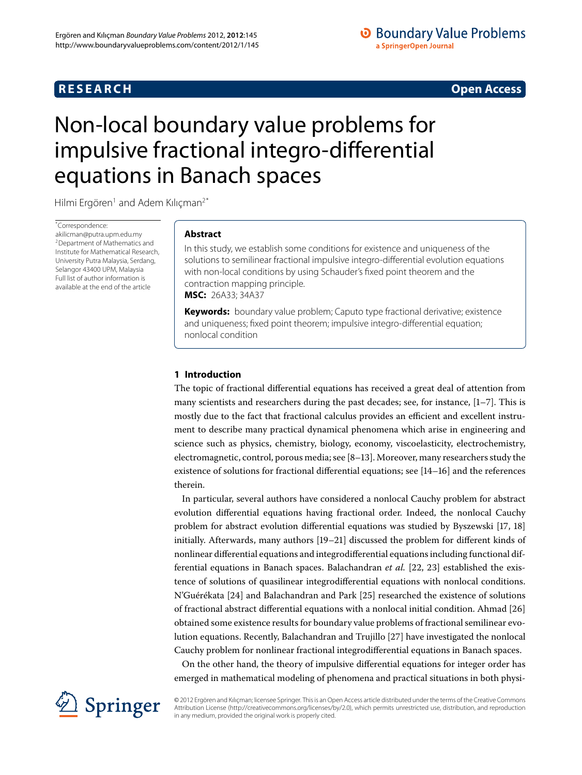# **RESEARCH CONSTRUCTER ACCESS**

# **O** Boundary Value Problems a SpringerOpen Journal

# <span id="page-0-0"></span>Non-local boundary value problems for impulsive fractional integro-differential equations in Banach spaces

Hilmi Ergören<sup>[1](#page-13-0)</sup> and Adem Kılıçman<sup>2[\\*](#page-0-0)</sup>

\* Correspondence:

[akilicman@putra.upm.edu.my](mailto:akilicman@putra.upm.edu.my) 2Department of Mathematics and Institute for Mathematical Research, University Putra Malaysia, Serdang, Selangor 43400 UPM, Malaysia Full list of author information is available at the end of the article

# **Abstract**

In this study, we establish some conditions for existence and uniqueness of the solutions to semilinear fractional impulsive integro-differential evolution equations with non-local conditions by using Schauder's fixed point theorem and the contraction mapping principle. **MSC:** 26A33; 34A37

**Keywords:** boundary value problem; Caputo type fractional derivative; existence and uniqueness; fixed point theorem; impulsive integro-differential equation; nonlocal condition

# **1 Introduction**

The topic of fractional differential equations has received a great deal of attention from many scientists and researchers during the past decades; see, for instance,  $[1-7]$ . This is mostly due to the fact that fractional calculus provides an efficient and excellent instrument to describe many practical dynamical phenomena which arise in engineering and science such as physics, chemistry, biology, economy, viscoelasticity, electrochemistry, electromagnetic, control, porous media; see  $[8-13]$ . Moreover, many researchers study the existence of solutions for fractional differential equations; see  $[14-16]$  $[14-16]$  and the references therein.

In particular, several authors have considered a nonlocal Cauchy problem for abstract evolution differential equations having fractional order. Indeed, the nonlocal Cauchy problem for abstract evolution differential equations was studied by Byszewski  $[17, 18]$  $[17, 18]$ initially. Afterwards, many authors  $[19-21]$  $[19-21]$  discussed the problem for different kinds of nonlinear differential equations and integrodifferential equations including functional differential equations in Banach spaces. Balachandran *et al.* [22[,](#page-14-7) 23] established the existence of solutions of quasilinear integrodifferential equations with nonlocal conditions. N'Guérékata [\[](#page-14-10)24] and Balachandran and Park [25] researched the existence of solutions of fractional abstract differential equations with a nonlocal initial condition. Ahmad [26] obtained some existence results for boundary value problems of fractional semilinear evo-lution equations. Recently, Balachandran and Trujillo [27[\]](#page-14-12) have investigated the nonlocal Cauchy problem for nonlinear fractional integrodifferential equations in Banach spaces.

On the other hand, the theory of impulsive differential equations for integer order has emerged in mathematical modeling of phenomena and practical situations in both physi-



© 2012 Ergören and Kılıçman; licensee Springer. This is an Open Access article distributed under the terms of the Creative Commons Attribution License [\(http://creativecommons.org/licenses/by/2.0](http://creativecommons.org/licenses/by/2.0)), which permits unrestricted use, distribution, and reproduction in any medium, provided the original work is properly cited.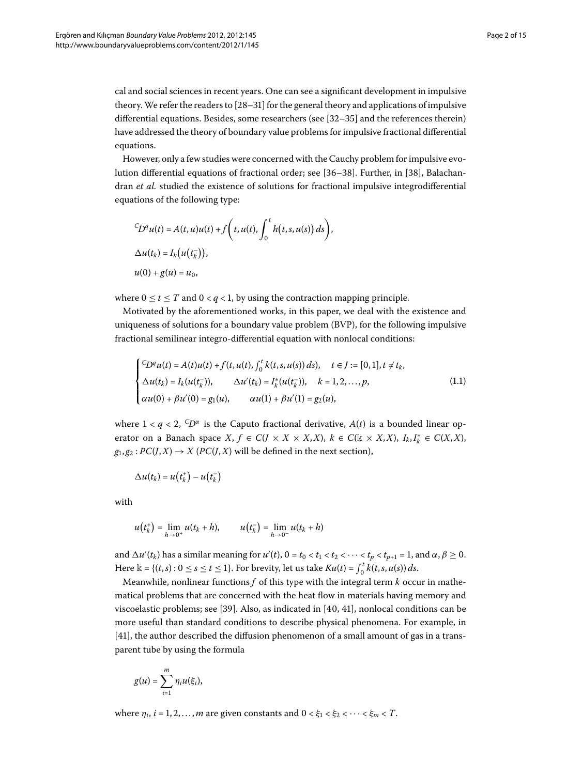cal and social sciences in recent years. One can see a significant development in impulsive theory. We refer the readers to  $[28-31]$  $[28-31]$  for the general theory and applications of impulsive differential equations. Besides, some researchers (see  $[32-35]$  $[32-35]$  and the references therein) have addressed the theory of boundary value problems for impulsive fractional differential equations.

However, only a few studies were concerned with the Cauchy problem for impulsive evolution differential equations of fractional order; see  $[36-38]$  $[36-38]$ . Further, in  $[38]$ , Balachandran *et al.* studied the existence of solutions for fractional impulsive integrodifferential equations of the following type:

$$
{}^C\!D^q u(t) = A(t, u)u(t) + f(t, u(t), \int_0^t h(t, s, u(s)) ds),
$$
  
\n
$$
\Delta u(t_k) = I_k(u(t_k^-)),
$$
  
\n
$$
u(0) + g(u) = u_0,
$$

where  $0 \le t \le T$  and  $0 < q < 1$ , by using the contraction mapping principle.

Motivated by the aforementioned works, in this paper, we deal with the existence and uniqueness of solutions for a boundary value problem (BVP), for the following impulsive fractional semilinear integro-differential equation with nonlocal conditions:

<span id="page-1-0"></span>
$$
\begin{cases}\nC D^q u(t) = A(t)u(t) + f(t, u(t), \int_0^t k(t, s, u(s)) ds), & t \in J := [0, 1], t \neq t_k, \\
\Delta u(t_k) = I_k(u(t_k^-)), & \Delta u'(t_k) = I_k^*(u(t_k^-)), & k = 1, 2, ..., p, \\
\alpha u(0) + \beta u'(0) = g_1(u), & \alpha u(1) + \beta u'(1) = g_2(u),\n\end{cases} (1.1)
$$

where  $1 < q < 2$ ,  ${}^C\!D^\alpha$  is the Caputo fractional derivative,  $A(t)$  is a bounded linear operator on a Banach space  $X, f \in C(J \times X \times X, X)$ ,  $k \in C(\mathbb{k} \times X, X)$ ,  $I_k, I_k^* \in C(X, X)$ ,  $g_1, g_2: PC(J, X) \rightarrow X$  (*PC*(*J*,*X*) will be defined in the next section),

$$
\Delta u(t_k) = u\big(t_k^+\big) - u\big(t_k^-\big)
$$

with

$$
u(t_k^+) = \lim_{h \to 0^+} u(t_k + h), \qquad u(t_k^-) = \lim_{h \to 0^-} u(t_k + h)
$$

and  $\Delta u'(t_k)$  has a similar meaning for  $u'(t)$ ,  $0 = t_0 < t_1 < t_2 < \cdots < t_p < t_{p+1} = 1$ , and  $\alpha, \beta \ge 0$ . Here  $\mathbb{k} = \{(t, s) : 0 \le s \le t \le 1\}$ . For brevity, let us take  $Ku(t) = \int_0^t k(t, s, u(s)) ds$ .

Meanwhile, nonlinear functions *f* of this type with the integral term *k* occur in mathematical problems that are concerned with the heat flow in materials having memory and viscoelastic problems; see [\[](#page-14-20)39]. Also, as indicated in  $[40, 41]$ , nonlocal conditions can be more useful than standard conditions to describe physical phenomena. For example, in [41], the author described the diffusion phenomenon of a small amount of gas in a transparent tube by using the formula

$$
g(u)=\sum_{i=1}^m \eta_i u(\xi_i),
$$

where  $\eta_i$ ,  $i = 1, 2, ..., m$  are given constants and  $0 < \xi_1 < \xi_2 < \cdots < \xi_m < T$ .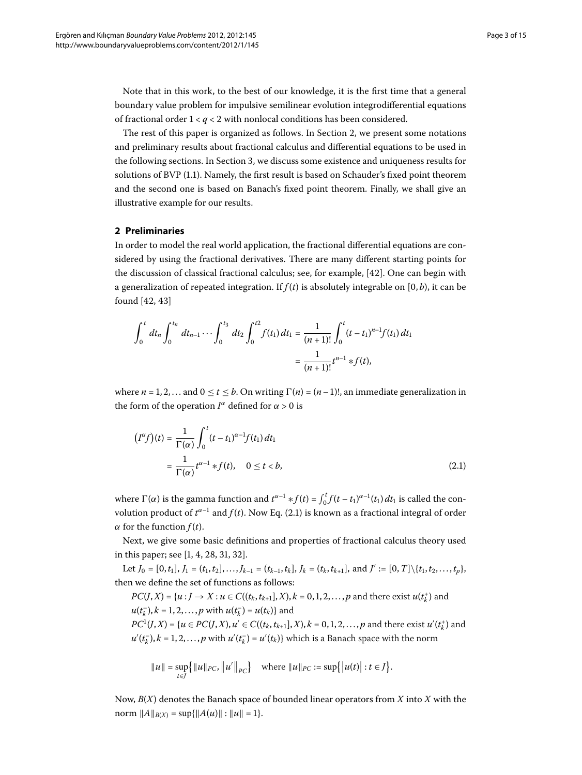Note that in this work, to the best of our knowledge, it is the first time that a general boundary value problem for impulsive semilinear evolution integrodifferential equations of fractional order  $1 < q < 2$  with nonlocal conditions has been considered.

The rest of this paper is organized as follows. In Section 2[,](#page-2-0) we present some notations and preliminary results about fractional calculus and differential equations to be used in the following sections. In Section 3[,](#page-6-0) we discuss some existence and uniqueness results for solutions of BVP (1[.](#page-1-0)1). Namely, the first result is based on Schauder's fixed point theorem and the second one is based on Banach's fixed point theorem. Finally, we shall give an illustrative example for our results.

## **2 Preliminaries**

In order to model the real world application, the fractional differential equations are considered by using the fractional derivatives. There are many different starting points for the discussion of classical fractional calculus; see, for example, [42]. One can begin with a generalization of repeated integration. If  $f(t)$  is absolutely integrable on  $[0, b)$ , it can be found  $[42, 43]$  $[42, 43]$ 

$$
\int_0^t dt_n \int_0^{t_n} dt_{n-1} \cdots \int_0^{t_3} dt_2 \int_0^{t_2} f(t_1) dt_1 = \frac{1}{(n+1)!} \int_0^t (t-t_1)^{n-1} f(t_1) dt_1
$$

$$
= \frac{1}{(n+1)!} t^{n-1} * f(t),
$$

<span id="page-2-1"></span>where  $n = 1, 2, \ldots$  and  $0 \le t \le b$ . On writing  $\Gamma(n) = (n-1)!$ , an immediate generalization in the form of the operation  $I^{\alpha}$  defined for  $\alpha > 0$  is

<span id="page-2-0"></span>
$$
(I^{\alpha}f)(t) = \frac{1}{\Gamma(\alpha)} \int_0^t (t - t_1)^{\alpha - 1} f(t_1) dt_1
$$
  
= 
$$
\frac{1}{\Gamma(\alpha)} t^{\alpha - 1} * f(t), \quad 0 \le t < b,
$$
 (2.1)

where  $\Gamma(\alpha)$  is the gamma function and  $t^{\alpha-1} * f(t) = \int_0^t f(t - t_1)^{\alpha-1}(t_1) dt_1$  is called the convolution product of  $t^{\alpha-1}$  and  $f(t)$ [.](#page-2-1) Now Eq. (2.1) is known as a fractional integral of order *α* for the function  $f(t)$ .

Next, we give some basic definitions and properties of fractional calculus theory used in this paper; see  $[1, 4, 28, 31, 32].$  $[1, 4, 28, 31, 32].$  $[1, 4, 28, 31, 32].$ 

Let  $J_0 = [0, t_1], J_1 = (t_1, t_2], \ldots, J_{k-1} = (t_{k-1}, t_k], J_k = (t_k, t_{k+1}],$  and  $J' := [0, T] \setminus \{t_1, t_2, \ldots, t_p\},$ then we define the set of functions as follows:

 $PC(J, X) = \{u : J \to X : u \in C((t_k, t_{k+1}], X), k = 0, 1, 2, ..., p \text{ and there exist } u(t_k^+) \text{ and }$  $u(t_{k}^{-}), k = 1, 2, ..., p$  with  $u(t_{k}^{-}) = u(t_{k})\}$  and  $PC^{1}(J, X) = \{u \in PC(J, X), u' \in C((t_{k}, t_{k+1}], X), k = 0, 1, 2, ..., p \text{ and there exist } u'(t_{k}^{+}) \text{ and } v''(t_{k}^{-})\}$ 

 $u'(t_k^-), k = 1, 2, \ldots, p$  with  $u'(t_k^-) = u'(t_k)$ } which is a Banach space with the norm

$$
||u|| = \sup_{t \in J} \{ ||u||_{PC}, ||u'||_{PC} \}
$$
 where  $||u||_{PC} := \sup \{ |u(t)| : t \in J \}.$ 

Now, *B*(*X*) denotes the Banach space of bounded linear operators from *X* into *X* with the norm  $||A||_{B(X)} = \sup{||A(u)|| : ||u|| = 1}.$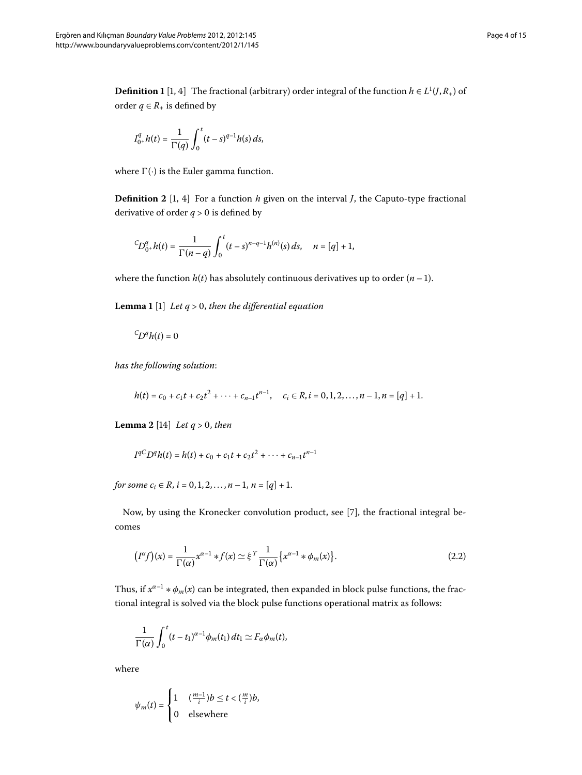**Definition 1** [1, 4[\]](#page-13-5) The fractional (arbitrary) order integral of the function  $h \in L^1(J, R_+)$  of order  $q \in R_+$  is defined by

$$
I_{0^+}^q h(t) = \frac{1}{\Gamma(q)} \int_0^t (t-s)^{q-1} h(s) \, ds,
$$

where  $\Gamma(\cdot)$  is the Euler gamma function.

**Definition 2** [1[,](#page-13-2) 4] For a function *h* given on the interval *J*, the Caputo-type fractional derivative of order  $q > 0$  is defined by

$$
{}^C\!D_{0^+}^q h(t) = \frac{1}{\Gamma(n-q)} \int_0^t (t-s)^{n-q-1} h^{(n)}(s) \, ds, \quad n = [q] + 1,
$$

where the function  $h(t)$  has absolutely continuous derivatives up to order  $(n - 1)$ .

**Lemma 1** [\[](#page-13-2)1] *Let q* > 0, *then the differential equation* 

<span id="page-3-0"></span>
$$
{}^C\!D^q h(t) = 0
$$

*has the following solution*:

$$
h(t) = c_0 + c_1t + c_2t^2 + \cdots + c_{n-1}t^{n-1}, \quad c_i \in R, i = 0, 1, 2, \ldots, n-1, n = [q] + 1.
$$

**Lemma 2** [14] *Let q* > 0*, then* 

$$
I^{qC}D^{q}h(t) = h(t) + c_0 + c_1t + c_2t^2 + \cdots + c_{n-1}t^{n-1}
$$

*for some*  $c_i \in R$ ,  $i = 0, 1, 2, ..., n - 1$ ,  $n = [q] + 1$ .

Now, by using the Kronecker convolution product, see [\[](#page-13-3)7], the fractional integral becomes

$$
(I^{\alpha}f)(x) = \frac{1}{\Gamma(\alpha)} x^{\alpha-1} * f(x) \simeq \xi^{T} \frac{1}{\Gamma(\alpha)} \{x^{\alpha-1} * \phi_{m}(x)\}.
$$
 (2.2)

Thus, if  $x^{\alpha-1} * \phi_m(x)$  can be integrated, then expanded in block pulse functions, the fractional integral is solved via the block pulse functions operational matrix as follows:

$$
\frac{1}{\Gamma(\alpha)}\int_0^t (t-t_1)^{\alpha-1}\phi_m(t_1)\,dt_1 \simeq F_\alpha\phi_m(t),
$$

where

$$
\psi_m(t) = \begin{cases} 1 & \text{if } \frac{m-1}{i} \text{ is } t < \left(\frac{m}{i}\right)b, \\ 0 & \text{elsewhere} \end{cases}
$$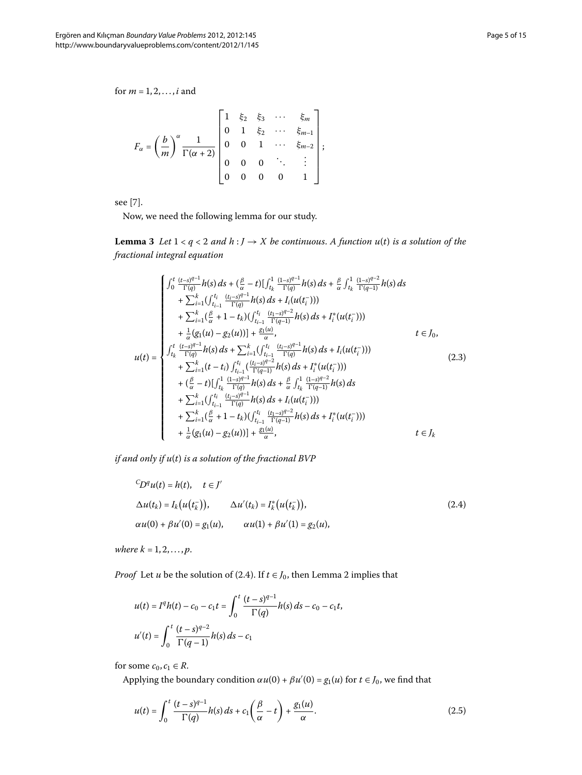for  $m = 1, 2, ..., i$  and

$$
F_{\alpha} = \left(\frac{b}{m}\right)^{\alpha} \frac{1}{\Gamma(\alpha+2)} \begin{bmatrix} 1 & \xi_2 & \xi_3 & \cdots & \xi_m \\ 0 & 1 & \xi_2 & \cdots & \xi_{m-1} \\ 0 & 0 & 1 & \cdots & \xi_{m-2} \\ 0 & 0 & 0 & \ddots & \vdots \\ 0 & 0 & 0 & 0 & 1 \end{bmatrix};
$$

<span id="page-4-2"></span> $\overline{\phantom{0}}$ 

<span id="page-4-3"></span>see [7[\]](#page-13-3).

Now, we need the following lemma for our study.

**Lemma 3** Let  $1 < q < 2$  and  $h : J \rightarrow X$  be continuous. A function  $u(t)$  is a solution of the *fractional integral equation*

$$
u(t) = \begin{cases} \int_{0}^{t} \frac{(t-s)^{q-1}}{\Gamma(q)} h(s) ds + (\frac{\beta}{\alpha} - t) [\int_{t_k}^{1} \frac{(1-s)^{q-1}}{\Gamma(q)} h(s) ds + \frac{\beta}{\alpha} \int_{t_k}^{1} \frac{(1-s)^{q-2}}{\Gamma(q-1)} h(s) ds \\ + \sum_{i=1}^{k} (\int_{t_{i-1}}^{t_i} \frac{(t_{i-3})^{q-1}}{\Gamma(q)} h(s) ds + I_{i}(u(t_{i}^{-}))) \\ + \sum_{i=1}^{k} (\frac{\beta}{\alpha} + 1 - t_{k}) (\int_{t_{i-1}}^{t_i} \frac{(t_{i-3})^{q-2}}{\Gamma(q-1)} h(s) ds + I_{i}^{*}(u(t_{i}^{-}))) \\ + \frac{1}{\alpha} (g_{1}(u) - g_{2}(u))] + \frac{g(u)}{\alpha}, & t \in J_{0}, \\ \int_{t_k}^{t} \frac{(t-s)^{q-1}}{\Gamma(q)} h(s) ds + \sum_{i=1}^{k} (\int_{t_{i-1}}^{t_i} \frac{(t_{i-3})^{q-1}}{\Gamma(q)} h(s) ds + I_{i}(u(t_{i}^{-}))) \\ + \sum_{i=1}^{k} (t - t_{i}) \int_{t_{i-1}}^{t_i} \frac{(t_{i-3})^{q-2}}{\Gamma(q-1)} h(s) ds + I_{i}^{*}(u(t_{i}^{-}))) \\ + (\frac{\beta}{\alpha} - t) [\int_{t_k}^{1} \frac{(1-s)^{q-1}}{\Gamma(q)} h(s) ds + \frac{\beta}{\alpha} \int_{t_k}^{1} \frac{(1-s)^{q-2}}{\Gamma(q-1)} h(s) ds \\ + \sum_{i=1}^{k} (\int_{t_{i-1}}^{t_i} \frac{(t_{i-3})^{q-1}}{\Gamma(q)} h(s) ds + I_{i}(u(t_{i}^{-}))) \\ + \sum_{i=1}^{k} (\frac{\beta}{\alpha} + 1 - t_{k}) (\int_{t_{i-1}}^{t_i} \frac{(t_{i-3})^{q-2}}{\Gamma(q-1)} h(s) ds + I_{i}^{*}(u(t_{i}^{-}))) \\ + \frac{1}{\alpha} (g_{1}(u) - g_{2}(u))] + \frac{g_{1}(u)}{\alpha}, & t \in J_{k} \end{cases}
$$

*if and only if u*(*t*) *is a solution of the fractional BVP*

<span id="page-4-0"></span>
$$
{}^{C}D^{q}u(t) = h(t), \quad t \in J'
$$
  
\n
$$
\Delta u(t_{k}) = I_{k}(u(t_{k}^{-})), \qquad \Delta u'(t_{k}) = I_{k}^{*}(u(t_{k}^{-})),
$$
  
\n
$$
\alpha u(0) + \beta u'(0) = g_{1}(u), \qquad \alpha u(1) + \beta u'(1) = g_{2}(u),
$$
\n(2.4)

*where*  $k = 1, 2, ..., p$ *.* 

*Proof* Let *u* be the solution of (2[.](#page-4-0)4). If  $t \in J_0$ , then Lemma 2 implies that

<span id="page-4-1"></span>
$$
u(t) = Iqh(t) - c_0 - c_1t = \int_0^t \frac{(t-s)^{q-1}}{\Gamma(q)} h(s) ds - c_0 - c_1t,
$$
  

$$
u'(t) = \int_0^t \frac{(t-s)^{q-2}}{\Gamma(q-1)} h(s) ds - c_1
$$

for some  $c_0, c_1 \in R$ .

Applying the boundary condition  $\alpha u(0) + \beta u'(0) = g_1(u)$  for  $t \in J_0$ , we find that

$$
u(t) = \int_0^t \frac{(t-s)^{q-1}}{\Gamma(q)} h(s) ds + c_1 \left(\frac{\beta}{\alpha} - t\right) + \frac{g_1(u)}{\alpha}.
$$
 (2.5)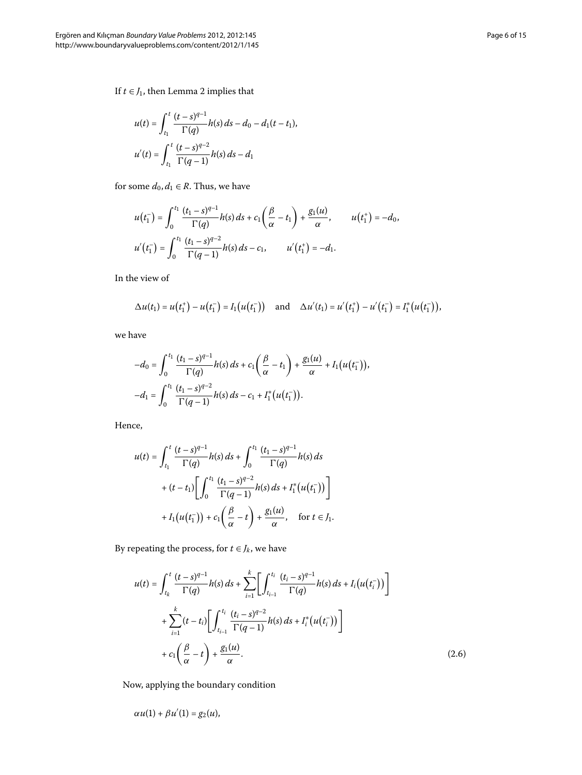If  $t \in J_1$ , then Lemma 2 implies that

$$
u(t) = \int_{t_1}^{t} \frac{(t-s)^{q-1}}{\Gamma(q)} h(s) ds - d_0 - d_1(t - t_1),
$$
  

$$
u'(t) = \int_{t_1}^{t} \frac{(t-s)^{q-2}}{\Gamma(q-1)} h(s) ds - d_1
$$

for some  $d_0, d_1 \in R$ . Thus, we have

$$
u(t_1^-) = \int_0^{t_1} \frac{(t_1 - s)^{q-1}}{\Gamma(q)} h(s) ds + c_1 \left(\frac{\beta}{\alpha} - t_1\right) + \frac{g_1(u)}{\alpha}, \qquad u(t_1^+) = -d_0,
$$
  

$$
u'(t_1^-) = \int_0^{t_1} \frac{(t_1 - s)^{q-2}}{\Gamma(q-1)} h(s) ds - c_1, \qquad u'(t_1^+) = -d_1.
$$

In the view of

$$
\Delta u(t_1) = u(t_1^+) - u(t_1^-) = I_1(u(t_1^-)) \text{ and } \Delta u'(t_1) = u'(t_1^+) - u'(t_1^-) = I_1^*(u(t_1^-)),
$$

we have

$$
-d_0 = \int_0^{t_1} \frac{(t_1 - s)^{q-1}}{\Gamma(q)} h(s) ds + c_1 \left(\frac{\beta}{\alpha} - t_1\right) + \frac{g_1(u)}{\alpha} + I_1\big(u(t_1)\big),
$$
  

$$
-d_1 = \int_0^{t_1} \frac{(t_1 - s)^{q-2}}{\Gamma(q-1)} h(s) ds - c_1 + I_1^*\big(u(t_1)\big).
$$

Hence,

$$
u(t) = \int_{t_1}^{t} \frac{(t-s)^{q-1}}{\Gamma(q)} h(s) ds + \int_{0}^{t_1} \frac{(t_1-s)^{q-1}}{\Gamma(q)} h(s) ds
$$
  
+  $(t-t_1) \left[ \int_{0}^{t_1} \frac{(t_1-s)^{q-2}}{\Gamma(q-1)} h(s) ds + I_1^* (u(t_1^-)) \right]$   
+  $I_1 (u(t_1^-)) + c_1 \left( \frac{\beta}{\alpha} - t \right) + \frac{g_1(u)}{\alpha}, \quad \text{for } t \in J_1.$ 

<span id="page-5-0"></span>By repeating the process, for  $t \in J_k$ , we have

$$
u(t) = \int_{t_k}^{t} \frac{(t-s)^{q-1}}{\Gamma(q)} h(s) ds + \sum_{i=1}^{k} \left[ \int_{t_{i-1}}^{t_i} \frac{(t_i-s)^{q-1}}{\Gamma(q)} h(s) ds + I_i(u(t_i^{-})) \right] + \sum_{i=1}^{k} (t-t_i) \left[ \int_{t_{i-1}}^{t_i} \frac{(t_i-s)^{q-2}}{\Gamma(q-1)} h(s) ds + I_i^*(u(t_i^{-})) \right] + c_1 \left( \frac{\beta}{\alpha} - t \right) + \frac{g_1(u)}{\alpha}.
$$
 (2.6)

Now, applying the boundary condition

$$
\alpha u(1) + \beta u'(1) = g_2(u),
$$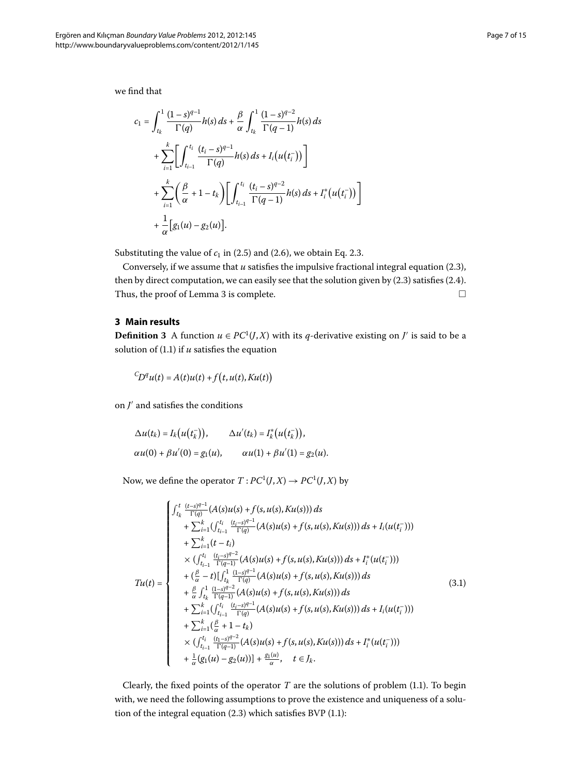$$
c_{1} = \int_{t_{k}}^{1} \frac{(1-s)^{q-1}}{\Gamma(q)} h(s) ds + \frac{\beta}{\alpha} \int_{t_{k}}^{1} \frac{(1-s)^{q-2}}{\Gamma(q-1)} h(s) ds
$$
  
+ 
$$
\sum_{i=1}^{k} \left[ \int_{t_{i-1}}^{t_{i}} \frac{(t_{i}-s)^{q-1}}{\Gamma(q)} h(s) ds + I_{i}(u(t_{i}^{-})) \right]
$$
  
+ 
$$
\sum_{i=1}^{k} \left( \frac{\beta}{\alpha} + 1 - t_{k} \right) \left[ \int_{t_{i-1}}^{t_{i}} \frac{(t_{i}-s)^{q-2}}{\Gamma(q-1)} h(s) ds + I_{i}^{*}(u(t_{i}^{-})) \right]
$$
  
+ 
$$
\frac{1}{\alpha} \left[ g_{1}(u) - g_{2}(u) \right].
$$

<span id="page-6-0"></span>Substituting the value of  $c_1$  in (2[.](#page-4-2)5) and (2.6), we obtain Eq. 2.3.

Conversely, if we assume that  $u$  satisfies the impulsive fractional integral equation (2.3), then by direct computation, we can easily see that the solution given by  $(2.3)$  satisfies  $(2.4)$ . Thus, the proof of Lemma 3 is complete.  $\Box$ 

## **3 Main results**

**Definition 3** A function  $u \in PC^1(J,X)$  with its *q*-derivative existing on *J'* is said to be a solution of  $(1.1)$  $(1.1)$  $(1.1)$  if  $u$  satisfies the equation

$$
{}^C\!D^q u(t) = A(t)u(t) + f(t, u(t), Ku(t))
$$

on  $J'$  and satisfies the conditions

$$
\Delta u(t_k) = I_k(u(t_k^-)), \qquad \Delta u'(t_k) = I_k^*(u(t_k^-)),
$$
  
\n
$$
\alpha u(0) + \beta u'(0) = g_1(u), \qquad \alpha u(1) + \beta u'(1) = g_2(u).
$$

Now, we define the operator  $T: PC^1(J, X) \to PC^1(J, X)$  by

<span id="page-6-1"></span>
$$
Tu(t) = \begin{cases}\n\int_{t_k}^{t} \frac{(t-s)^{q-1}}{\Gamma(q)} (A(s)u(s) + f(s, u(s), Ku(s))) ds \\
+ \sum_{i=1}^{k} (\int_{t_{i-1}}^{t_i} \frac{(t_i-s)^{q-1}}{\Gamma(q)} (A(s)u(s) + f(s, u(s), Ku(s))) ds + I_i(u(t_i^-))) \\
+ \sum_{i=1}^{k} (t-t_i) \\
\times (\int_{t_{i-1}}^{t_i} \frac{(t_i-s)^{q-2}}{\Gamma(q-1)} (A(s)u(s) + f(s, u(s), Ku(s))) ds + I_i^*(u(t_i^-))) \\
+ (\frac{\beta}{\alpha} - t) [\int_{t_k}^{1} \frac{(1-s)^{q-1}}{\Gamma(q)} (A(s)u(s) + f(s, u(s), Ku(s))) ds \\
+ \frac{\beta}{\alpha} \int_{t_k}^{1} \frac{(1-s)^{q-2}}{\Gamma(q-1)} (A(s)u(s) + f(s, u(s), Ku(s))) ds \\
+ \sum_{i=1}^{k} (\int_{t_{i-1}}^{t_i} \frac{(t_i-s)^{q-1}}{\Gamma(q)} (A(s)u(s) + f(s, u(s), Ku(s))) ds + I_i(u(t_i^-))) \\
+ \sum_{i=1}^{k} (\frac{\beta}{\alpha} + 1 - t_k) \\
\times (\int_{t_{i-1}}^{t_i} \frac{(t_i-s)^{q-2}}{\Gamma(q-1)} (A(s)u(s) + f(s, u(s), Ku(s))) ds + I_i^*(u(t_i^-))) \\
+ \frac{1}{\alpha} (g_1(u) - g_2(u))] + \frac{g_1(u)}{\alpha}, \quad t \in J_k.\n\end{cases} (3.1)
$$

Clearly, the fixed points of the operator  $T$  are the solutions of problem (1[.](#page-1-0)1). To begin with, we need the following assumptions to prove the existence and uniqueness of a solution of the integral equation  $(2.3)$  $(2.3)$  $(2.3)$  which satisfies BVP  $(1.1)$ :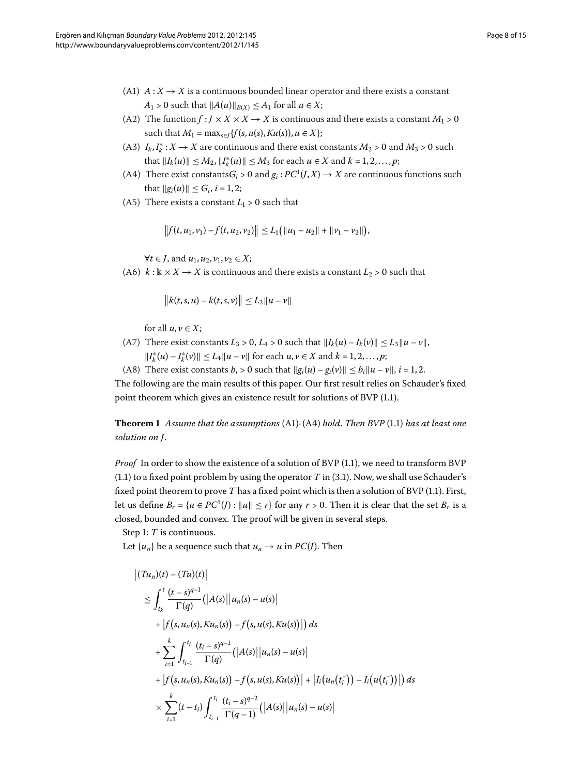- (A1)  $A: X \rightarrow X$  is a continuous bounded linear operator and there exists a constant  $A_1 > 0$  such that  $||A(u)||_{B(X)} \leq A_1$  for all  $u \in X$ ;
- (A2) The function  $f: J \times X \times X \rightarrow X$  is continuous and there exists a constant  $M_1 > 0$ such that  $M_1 = \max_{s \in I} \{f(s, u(s), Ku(s)), u \in X\};$
- (A3)  $I_k, I_k^*: X \to X$  are continuous and there exist constants  $M_2 > 0$  and  $M_3 > 0$  such  $\|I_k(u)\| \leq M_2, \|I_k^*(u)\| \leq M_3 \text{ for each } u \in X \text{ and } k = 1, 2, \ldots, p;$
- (A4) There exist constants $G_i > 0$  and  $g_i : PC^1(J,X) \to X$  are continuous functions such that  $||g_i(u)|| \le G_i$ ,  $i = 1, 2$ ;
- (A5) There exists a constant  $L_1 > 0$  such that

$$
|| f(t, u_1, v_1) - f(t, u_2, v_2)|| \le L_1 (||u_1 - u_2|| + ||v_1 - v_2||),
$$

*∀t* ∈ *J*, and  $u_1, u_2, v_1, v_2 \in X$ ;

(A6)  $k : \mathbb{k} \times X \to X$  is continuous and there exists a constant  $L_2 > 0$  such that

$$
||k(t, s, u) - k(t, s, v)|| \le L_2 ||u - v||
$$

for all  $u, v \in X$ ;

<span id="page-7-0"></span>(A7) There exist constants  $L_3 > 0$ ,  $L_4 > 0$  such that  $||I_k(u) - I_k(v)|| \le L_3 ||u - v||$ ,  $||I_k^*(u) - I_k^*(v)|| \le L_4 ||u - v||$  for each  $u, v \in X$  and  $k = 1, 2, ..., p$ ;

(A8) There exist constants  $b_i > 0$  such that  $||g_i(u) - g_i(v)|| \le b_i ||u - v||$ ,  $i = 1, 2$ . The following are the main results of this paper. Our first result relies on Schauder's fixed point theorem which gives an existence result for solutions of BVP (1[.](#page-1-0)1).

**Theorem**  *Assume that the assumptions* (A)*-*(A) *hold*. *Then BVP* [\(.\)](#page-1-0) *has at least one solution on J*.

*Proof* In order to show the existence of a solution of BVP (1[.](#page-1-0)1), we need to transform BVP  $(1.1)$  $(1.1)$  $(1.1)$  to a fixed point problem by using the operator *T* in  $(3.1)$ . Now, we shall use Schauder's fixed point theorem to prove  $T$  has a fixed point which is then a solution of BVP (1[.](#page-1-0)1). First, let us define  $B_r = \{u \in PC^1(I) : ||u|| \leq r\}$  for any  $r > 0$ . Then it is clear that the set  $B_r$  is a closed, bounded and convex. The proof will be given in several steps.

Step 1: *T* is continuous.

Let  $\{u_n\}$  be a sequence such that  $u_n \to u$  in  $PC(J)$ . Then

$$
\begin{aligned}\n\left|\left(Tu_n\right)(t) - \left(Tu\right)(t)\right| \\
&\leq \int_{t_k}^t \frac{(t-s)^{q-1}}{\Gamma(q)} \left(\left|A(s)\right| |u_n(s) - u(s)\right| \\
&+ \left|f\left(s, u_n(s), Ku_n(s)\right) - f\left(s, u(s), Ku(s)\right|\right)\right) ds \\
&+ \sum_{i=1}^k \int_{t_{i-1}}^{t_i} \frac{(t_i - s)^{q-1}}{\Gamma(q)} \left(\left|A(s)\right| |u_n(s) - u(s)\right| \\
&+ \left|f\left(s, u_n(s), Ku_n(s)\right) - f\left(s, u(s), Ku(s)\right)\right| + \left|I_i\left(u_n(t_i^{-})\right) - I_i\left(u(t_i^{-})\right)\right|\right) ds \\
&\times \sum_{i=1}^k (t - t_i) \int_{t_{i-1}}^{t_i} \frac{(t_i - s)^{q-2}}{\Gamma(q-1)} \left(\left|A(s)\right| |u_n(s) - u(s)\right)\n\end{aligned}
$$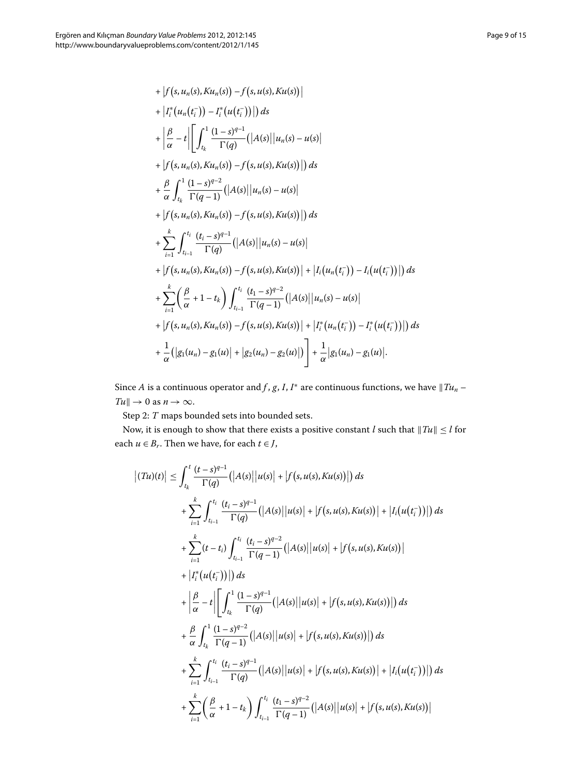+ 
$$
\left|f(s, u_n(s), Ku_n(s)) - f(s, u(s), Ku(s))\right|
$$
  
+  $\left|I_i^*(u_n(t_i^-)) - I_i^*(u(t_i^-))\right| ds$   
+  $\left|\frac{\beta}{\alpha} - t\right| \left[\int_{t_k}^1 \frac{(1-s)^{q-1}}{\Gamma(q)} (|A(s)||u_n(s) - u(s)|$   
+  $\left|f(s, u_n(s), Ku_n(s)) - f(s, u(s), Ku(s))\right| ds$   
+  $\frac{\beta}{\alpha} \int_{t_k}^1 \frac{(1-s)^{q-2}}{\Gamma(q-1)} (|A(s)||u_n(s) - u(s)|$   
+  $\left|f(s, u_n(s), Ku_n(s)) - f(s, u(s), Ku(s))\right| ds$   
+  $\sum_{i=1}^k \int_{t_{i-1}}^{t_i} \frac{(t_i - s)^{q-1}}{\Gamma(q)} (|A(s)||u_n(s) - u(s)|$   
+  $\left|f(s, u_n(s), Ku_n(s)) - f(s, u(s), Ku(s))\right| + |I_i(u_n(t_i^-)) - I_i(u(t_i^-))| ds$   
+  $\sum_{i=1}^k \left(\frac{\beta}{\alpha} + 1 - t_k\right) \int_{t_{i-1}}^{t_i} \frac{(t_1 - s)^{q-2}}{\Gamma(q-1)} (|A(s)||u_n(s) - u(s)| + |f(s, u_n(s), Ku_n(s)) - f(s, u(s), Ku(s))| + |I_i^*(u_n(t_i^-)) - I_i^*(u(t_i^-))| ds$   
+  $\left|f(s, u_n(s), Ku_n(s)) - f(s, u(s), Ku(s))\right| + |I_i^*(u_n(t_i^-)) - I_i^*(u(t_i^-))| ds$   
+  $\frac{1}{\alpha} (|g_1(u_n) - g_1(u)| + |g_2(u_n) - g_2(u)|) + \frac{1}{\alpha} |g_1(u_n) - g_1(u)|.$ 

Since *A* is a continuous operator and *f* , *g*, *I*, *I*<sup>\*</sup> are continuous functions, we have  $||Tu_n Tu \parallel \rightarrow 0$  as  $n \rightarrow \infty$ .

Step 2:  $T$  maps bounded sets into bounded sets.

 $\overline{\phantom{a}}$ 

Now, it is enough to show that there exists a positive constant *l* such that  $\|Tu\| \leq l$  for each *u* ∈ *B*<sub>r</sub>. Then we have, for each *t* ∈ *J*,

$$
\left| (Tu)(t) \right| \leq \int_{t_k}^{t} \frac{(t-s)^{q-1}}{\Gamma(q)} \left( |A(s)| \, |u(s)| + |f(s, u(s), Ku(s))| \right) ds
$$
  
+ 
$$
\sum_{i=1}^{k} \int_{t_{i-1}}^{t_i} \frac{(t_i-s)^{q-1}}{\Gamma(q)} \left( |A(s)| \, |u(s)| + |f(s, u(s), Ku(s))| + |I_i(u(t_i^-))| \right) ds
$$
  
+ 
$$
\sum_{i=1}^{k} (t-t_i) \int_{t_{i-1}}^{t_i} \frac{(t_i-s)^{q-2}}{\Gamma(q-1)} \left( |A(s)| \, |u(s)| + |f(s, u(s), Ku(s))| \right)
$$
  
+ 
$$
\left| I_i^*(u(t_i^-))| \right) ds
$$
  
+ 
$$
\left| \frac{\beta}{\alpha} - t \right| \left[ \int_{t_k}^{1} \frac{(1-s)^{q-1}}{\Gamma(q)} \left( |A(s)| \, |u(s)| + |f(s, u(s), Ku(s))| \right) ds
$$
  
+ 
$$
\frac{\beta}{\alpha} \int_{t_k}^{1} \frac{(1-s)^{q-2}}{\Gamma(q-1)} \left( |A(s)| \, |u(s)| + |f(s, u(s), Ku(s))| \right) ds
$$
  
+ 
$$
\sum_{i=1}^{k} \int_{t_{i-1}}^{t_i} \frac{(t_i-s)^{q-1}}{\Gamma(q)} \left( |A(s)| \, |u(s)| + |f(s, u(s), Ku(s))| + |I_i(u(t_i^-))| \right) ds
$$
  
+ 
$$
\sum_{i=1}^{k} \left( \frac{\beta}{\alpha} + 1 - t_k \right) \int_{t_{i-1}}^{t_i} \frac{(t_1-s)^{q-2}}{\Gamma(q-1)} \left( |A(s)| \, |u(s)| + |f(s, u(s), Ku(s))| \right)
$$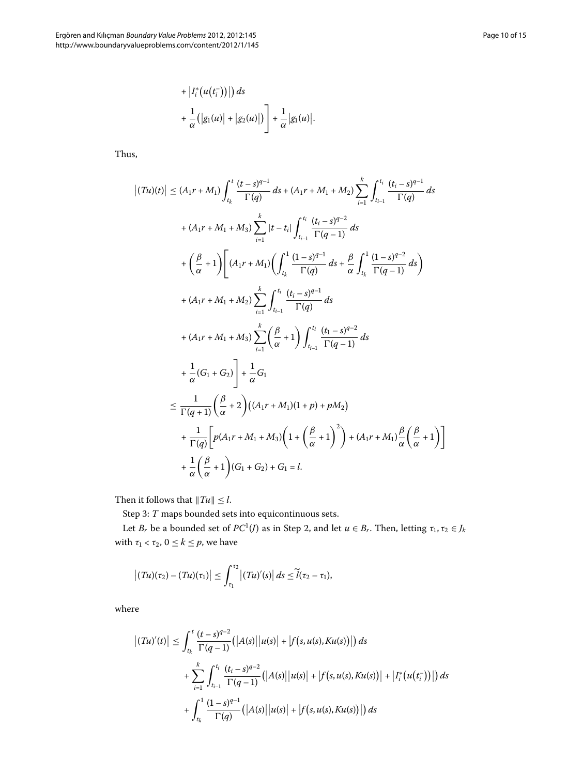+ 
$$
|I_i^*(u(t_i^-))|
$$
) ds  
+  $\frac{1}{\alpha}(|g_1(u)| + |g_2(u)|) + \frac{1}{\alpha}|g_1(u)|$ .

Thus,

$$
\left| (Tu)(t) \right| \leq (A_1r + M_1) \int_{t_k}^{t} \frac{(t - s)^{q-1}}{\Gamma(q)} ds + (A_1r + M_1 + M_2) \sum_{i=1}^{k} \int_{t_{i-1}}^{t_i} \frac{(t_i - s)^{q-1}}{\Gamma(q)} ds
$$
  
+  $(A_1r + M_1 + M_3) \sum_{i=1}^{k} |t - t_i| \int_{t_{i-1}}^{t_i} \frac{(t_i - s)^{q-2}}{\Gamma(q-1)} ds$   
+  $\left(\frac{\beta}{\alpha} + 1\right) \left[ (A_1r + M_1) \left( \int_{t_k}^{1} \frac{(1 - s)^{q-1}}{\Gamma(q)} ds + \frac{\beta}{\alpha} \int_{t_k}^{1} \frac{(1 - s)^{q-2}}{\Gamma(q-1)} ds \right) \right.$   
+  $(A_1r + M_1 + M_2) \sum_{i=1}^{k} \int_{t_{i-1}}^{t_i} \frac{(t_i - s)^{q-1}}{\Gamma(q)} ds$   
+  $(A_1r + M_1 + M_3) \sum_{i=1}^{k} \left( \frac{\beta}{\alpha} + 1 \right) \int_{t_{i-1}}^{t_i} \frac{(t_1 - s)^{q-2}}{\Gamma(q-1)} ds$   
+  $\frac{1}{\alpha} (G_1 + G_2) \left] + \frac{1}{\alpha} G_1$   
 $\leq \frac{1}{\Gamma(q+1)} \left( \frac{\beta}{\alpha} + 2 \right) ((A_1r + M_1)(1 + p) + pM_2)$   
+  $\frac{1}{\Gamma(q)} \left[ p(A_1r + M_1 + M_3) \left( 1 + \left( \frac{\beta}{\alpha} + 1 \right)^2 \right) + (A_1r + M_1) \frac{\beta}{\alpha} \left( \frac{\beta}{\alpha} + 1 \right) \right]$   
+  $\frac{1}{\alpha} \left( \frac{\beta}{\alpha} + 1 \right) (G_1 + G_2) + G_1 = l$ .

Then it follows that  $||Tu|| \le l$ .

Step 3:  $T$  maps bounded sets into equicontinuous sets.

Let *B<sub>r</sub>* be a bounded set of  $PC^1(J)$  as in Step 2, and let  $u \in B_r$ . Then, letting  $\tau_1, \tau_2 \in J_k$ with  $\tau_1 < \tau_2$ ,  $0 \le k \le p$ , we have

$$
\left|(Tu)(\tau_2)-(Tu)(\tau_1)\right|\leq \int_{\tau_1}^{\tau_2}\left|(Tu)'(s)\right|ds\leq \widetilde{\ell}(\tau_2-\tau_1),
$$

where

$$
\left| (Tu)'(t) \right| \leq \int_{t_k}^t \frac{(t-s)^{q-2}}{\Gamma(q-1)} \left( |A(s)| \, |u(s)| + |f(s, u(s), Ku(s))| \right) ds
$$
  
+ 
$$
\sum_{i=1}^k \int_{t_{i-1}}^{t_i} \frac{(t_i - s)^{q-2}}{\Gamma(q-1)} \left( |A(s)| \, |u(s)| + |f(s, u(s), Ku(s))| + |I_i^*(u(t_i^-))| \right) ds
$$
  
+ 
$$
\int_{t_k}^1 \frac{(1-s)^{q-1}}{\Gamma(q)} \left( |A(s)| \, |u(s)| + |f(s, u(s), Ku(s))| \right) ds
$$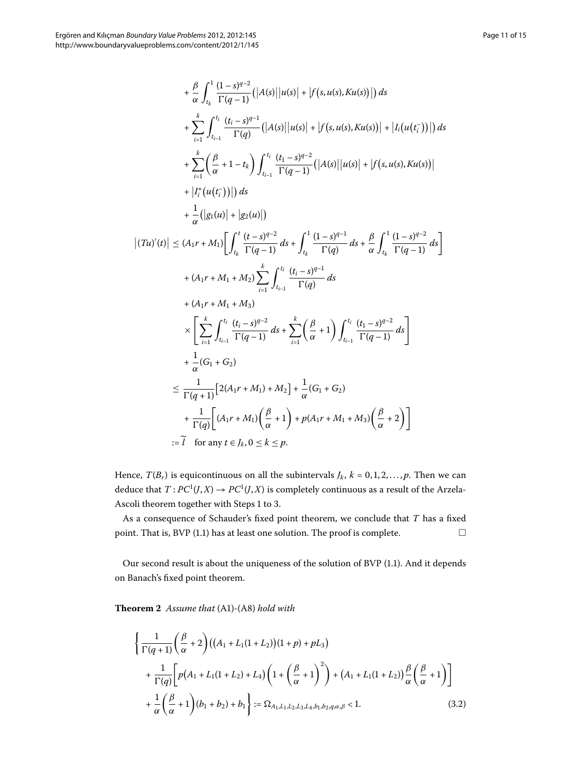$$
+\frac{\beta}{\alpha} \int_{t_k}^{1} \frac{(1-s)^{q-2}}{\Gamma(q-1)} (|A(s)||u(s)| + |f(s, u(s), Ku(s))|) ds
$$
  
\n
$$
+\sum_{i=1}^{k} \int_{t_{i-1}}^{t_i} \frac{(t_i-s)^{q-1}}{\Gamma(q)} (|A(s)||u(s)| + |f(s, u(s), Ku(s))| + |I_i(u(t_i^-))|) ds
$$
  
\n
$$
+\sum_{i=1}^{k} (\frac{\beta}{\alpha} + 1 - t_k) \int_{t_{i-1}}^{t_i} \frac{(t_1-s)^{q-2}}{\Gamma(q-1)} (|A(s)||u(s)| + |f(s, u(s), Ku(s))|
$$
  
\n
$$
+ |I_i^*(u(t_i^-))|) ds
$$
  
\n
$$
+\frac{1}{\alpha} (|g_1(u)| + |g_2(u)|)
$$
  
\n
$$
|(Tu)'(t)| \le (A_1r + M_1) \Big[ \int_{t_k}^{t} \frac{(t-s)^{q-2}}{\Gamma(q-1)} ds + \int_{t_k}^{1} \frac{(1-s)^{q-1}}{\Gamma(q)} ds + \frac{\beta}{\alpha} \int_{t_k}^{1} \frac{(1-s)^{q-2}}{\Gamma(q-1)} ds \Big]
$$
  
\n
$$
+ (A_1r + M_1 + M_2) \sum_{i=1}^{k} \int_{t_{i-1}}^{t_i} \frac{(t_i - s)^{q-1}}{\Gamma(q)} ds
$$
  
\n
$$
+ (A_1r + M_1 + M_3)
$$
  
\n
$$
\times \Big[ \sum_{i=1}^{k} \int_{t_{i-1}}^{t_i} \frac{(t_i - s)^{q-2}}{\Gamma(q-1)} ds + \sum_{i=1}^{k} (\frac{\beta}{\alpha} + 1) \int_{t_{i-1}}^{t_i} \frac{(t_1 - s)^{q-2}}{\Gamma(q-1)} ds \Big]
$$
  
\n
$$
+ \frac{1}{\alpha} (G_1 + G_2)
$$
  
\n
$$
\le \frac{1}{\Gamma(q+1)} [2(A_1r + M_1) + M_2] + \frac{1}{\alpha} (G_1 + G_2)
$$
  
\n
$$
+ \frac{1}{\Gamma(q)} [(A_1r + M_1) (\frac{\beta}{\alpha} + 1) + p(A_1
$$

:= $\tilde{l}$  for any  $t \in J_k$ ,  $0 \le k \le p$ .

Hence,  $T(B_r)$  is equicontinuous on all the subintervals  $J_k$ ,  $k = 0, 1, 2, ..., p$ . Then we can deduce that  $T: PC^1(J,X) \to PC^1(J,X)$  is completely continuous as a result of the Arzela-Ascoli theorem together with Steps 1 to 3.

<span id="page-10-1"></span>As a consequence of Schauder's fixed point theorem, we conclude that *T* has a fixed point[.](#page-1-0) That is, BVP (1.1) has at least one solution. The proof is complete.  $\hfill\Box$ 

<span id="page-10-0"></span>Our second result is about the uniqueness of the solution of BVP (1.1). And it depends on Banach's fixed point theorem.

**Theorem**  *Assume that* (A)*-*(A) *hold with*

$$
\left\{\frac{1}{\Gamma(q+1)}\left(\frac{\beta}{\alpha}+2\right)((A_1+L_1(1+L_2))(1+p)+pL_3) + \frac{1}{\Gamma(q)}\left[p(A_1+L_1(1+L_2)+L_4)\left(1+\left(\frac{\beta}{\alpha}+1\right)^2\right) + (A_1+L_1(1+L_2))\frac{\beta}{\alpha}\left(\frac{\beta}{\alpha}+1\right)\right] + \frac{1}{\alpha}\left(\frac{\beta}{\alpha}+1\right)(b_1+b_2)+b_1\right\} := \Omega_{A_1,L_1,L_2,L_3,L_4,b_1,b_2,q,\alpha,\beta} < 1.
$$
\n(3.2)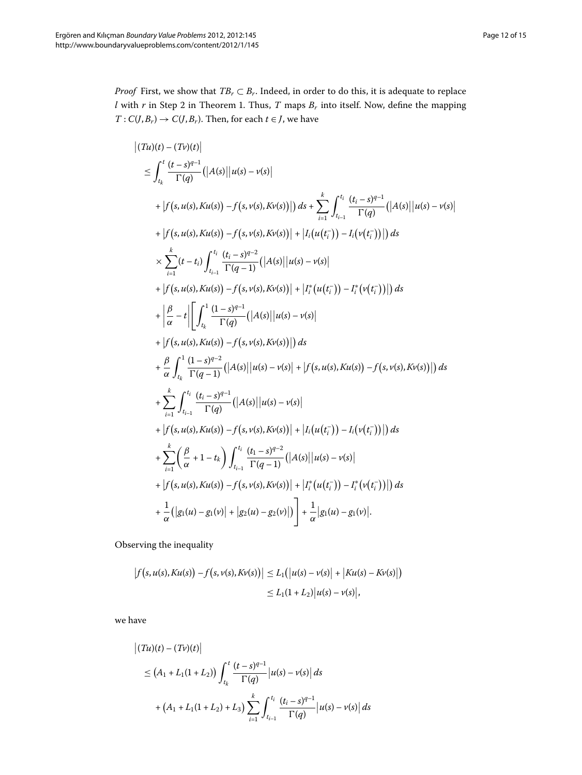*Proof* First, we show that  $TB_r \subset B_r$ . Indeed, in order to do this, it is adequate to replace  $l$  with  $r$  in Step 2 in Theorem 1[.](#page-7-0) Thus,  $T$  maps  $B_r$  into itself. Now, define the mapping  $T: C(J, B_r) \to C(J, B_r)$ . Then, for each  $t \in J$ , we have

$$
|(Tu)(t) - (Tv)(t)|
$$
\n
$$
\leq \int_{t_k}^{t} \frac{(t-s)^{q-1}}{\Gamma(q)} (|A(s)||u(s) - v(s)|
$$
\n+  $|f(s, u(s), Ku(s)) - f(s, v(s), Kv(s))|$ ) ds +  $\sum_{i=1}^{k} \int_{t_{i-1}}^{t_i} \frac{(t_i - s)^{q-1}}{\Gamma(q)} (|A(s)||u(s) - v(s)|$   
\n+  $|f(s, u(s), Ku(s)) - f(s, v(s), Kv(s))| + |I_i(u(t_i^-)) - I_i(v(t_i^-))|$ ) ds  
\n
$$
\times \sum_{i=1}^{k} (t-t_i) \int_{t_{i-1}}^{t_i} \frac{(t_i - s)^{q-2}}{\Gamma(q-1)} (|A(s)||u(s) - v(s)|
$$
\n+  $|f(s, u(s), Ku(s)) - f(s, v(s), Kv(s))| + |I_i^*(u(t_i^-)) - I_i^*(v(t_i^-))|$ ) ds  
\n+  $\left| \frac{\beta}{\alpha} - t \right| \left[ \int_{t_k}^{1} \frac{(1 - s)^{q-1}}{\Gamma(q)} (|A(s)||u(s) - v(s)| + |I_i^*(u(t_i^-)) - I_i^*(v(t_i^-))| \right) ds$   
\n+  $\frac{\beta}{\alpha} \int_{t_k}^{1} \frac{(1 - s)^{q-2}}{\Gamma(q-1)} (|A(s)||u(s) - v(s)| + |f(s, u(s), Ku(s)) - f(s, v(s), Kv(s))| \right) ds$   
\n+  $\frac{\beta}{\alpha} \int_{t_{i-1}}^{t_i} \frac{(t_i - s)^{q-1}}{\Gamma(q)} (|A(s)||u(s) - v(s)| + |f(s, u(s), Ku(s)) - f(s, v(s), Kv(s))| \right) ds$   
\n+  $\sum_{i=1}^{k} \int_{t_{i-1}}^{t_i} \frac{(t_i - s)^{q-1}}{\Gamma(q)} (|A(s)||u(s) - v(s)| + |I_i(u(t_i^-)) - I_i(v(t_i^-))| \right) ds$   
\n+  $\sum_{i=1}^{k} (\frac{\beta}{\alpha} + 1 - t_k) \int_{t_{i-1}}^{t_i} \frac{(t_1 - s)^{q-2}}{\Gamma(q-1)} (|A(s)||u(s) - v(s)| + |I_i^*(u(t_i^-)) - I_i^*(v(t_i^-$ 

Observing the inequality

$$
\begin{aligned} \left| f(s, u(s), Ku(s)) - f(s, v(s), Kv(s)) \right| &\le L_1 \big( \left| u(s) - v(s) \right| + \left| Ku(s) - Kv(s) \right| \big) \\ &\le L_1 (1 + L_2) \left| u(s) - v(s) \right|, \end{aligned}
$$

we have

$$
\begin{aligned} \left| (Tu)(t) - (Tv)(t) \right| \\ &\le \left( A_1 + L_1(1 + L_2) \right) \int_{t_k}^t \frac{(t - s)^{q - 1}}{\Gamma(q)} \left| u(s) - v(s) \right| ds \\ &+ \left( A_1 + L_1(1 + L_2) + L_3 \right) \sum_{i = 1}^k \int_{t_{i - 1}}^{t_i} \frac{(t_i - s)^{q - 1}}{\Gamma(q)} \left| u(s) - v(s) \right| ds \end{aligned}
$$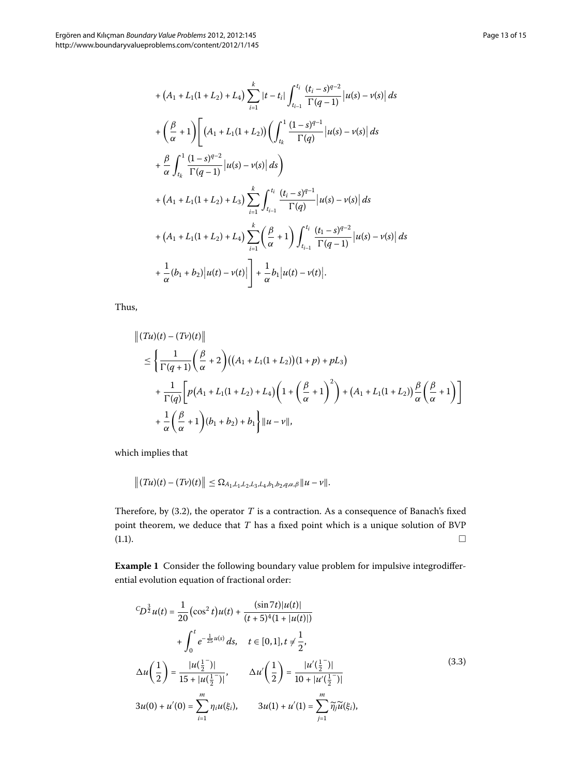$$
+ (A_1 + L_1(1 + L_2) + L_4) \sum_{i=1}^{k} |t - t_i| \int_{t_{i-1}}^{t_i} \frac{(t_i - s)^{q-2}}{\Gamma(q-1)} |u(s) - v(s)| ds
$$
  
+ 
$$
\left(\frac{\beta}{\alpha} + 1\right) \left[ (A_1 + L_1(1 + L_2)) \left( \int_{t_k}^{1} \frac{(1 - s)^{q-1}}{\Gamma(q)} |u(s) - v(s)| ds \right. \\ + \frac{\beta}{\alpha} \int_{t_k}^{1} \frac{(1 - s)^{q-2}}{\Gamma(q-1)} |u(s) - v(s)| ds \right)
$$
  
+ 
$$
(A_1 + L_1(1 + L_2) + L_3) \sum_{i=1}^{k} \int_{t_{i-1}}^{t_i} \frac{(t_i - s)^{q-1}}{\Gamma(q)} |u(s) - v(s)| ds
$$
  
+ 
$$
(A_1 + L_1(1 + L_2) + L_4) \sum_{i=1}^{k} \left( \frac{\beta}{\alpha} + 1 \right) \int_{t_{i-1}}^{t_i} \frac{(t_1 - s)^{q-2}}{\Gamma(q-1)} |u(s) - v(s)| ds
$$
  
+ 
$$
\frac{1}{\alpha} (b_1 + b_2) |u(t) - v(t)| + \frac{1}{\alpha} b_1 |u(t) - v(t)|.
$$

Thus,

$$
\begin{aligned} &\|(T u)(t) - (T v)(t)\| \\ &\leq \left\{\frac{1}{\Gamma(q+1)}\left(\frac{\beta}{\alpha}+2\right)\left((A_1+L_1(1+L_2))(1+p)+pL_3\right) \right. \\ &\left. + \frac{1}{\Gamma(q)}\left[p\big(A_1+L_1(1+L_2)+L_4\big)\left(1+\left(\frac{\beta}{\alpha}+1\right)^2\right)+\big(A_1+L_1(1+L_2)\big)\frac{\beta}{\alpha}\left(\frac{\beta}{\alpha}+1\right)\right] \right. \\ &\left. + \frac{1}{\alpha}\left(\frac{\beta}{\alpha}+1\right)(b_1+b_2)+b_1\right\}\|u-v\|, \end{aligned}
$$

which implies that

$$
|| (Tu)(t) - (Tv)(t) || \leq \Omega_{A_1, L_1, L_2, L_3, L_4, b_1, b_2, q, \alpha, \beta} || u - v ||.
$$

Therefore, by  $(3.2)$ , the operator  $T$  is a contraction. As a consequence of Banach's fixed point theorem, we deduce that *T* has a fixed point which is a unique solution of BVP  $(1.1).$  $(1.1).$  $(1.1).$  $\Box$ 

**Example 1** Consider the following boundary value problem for impulsive integrodifferential evolution equation of fractional order:

<span id="page-12-0"></span>
$$
{}^{C}D^{\frac{3}{2}}u(t) = \frac{1}{20} \left(\cos^{2} t\right)u(t) + \frac{\left(\sin 7t\right)|u(t)|}{(t+5)^{4}(1+|u(t)|)}
$$
  
+  $\int_{0}^{t} e^{-\frac{1}{25}u(s)} ds, \quad t \in [0,1], t \neq \frac{1}{2},$   

$$
\Delta u\left(\frac{1}{2}\right) = \frac{|u(\frac{1}{2}^{-})|}{15+|u(\frac{1}{2}^{-})|}, \qquad \Delta u'\left(\frac{1}{2}\right) = \frac{|u'(\frac{1}{2}^{-})|}{10+|u'(\frac{1}{2}^{-})|}
$$
  

$$
3u(0) + u'(0) = \sum_{i=1}^{m} \eta_{i}u(\xi_{i}), \qquad 3u(1) + u'(1) = \sum_{j=1}^{m} \widetilde{\eta}_{j}\widetilde{u}(\xi_{i}),
$$
 (3.3)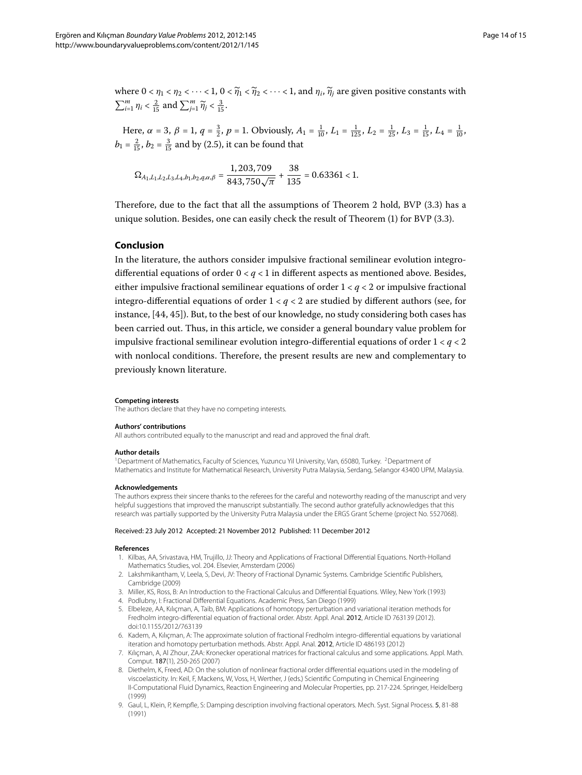where  $0 < \eta_1 < \eta_2 < \cdots < 1$ ,  $0 < \widetilde{\eta}_1 < \widetilde{\eta}_2 < \cdots < 1$ , and  $\eta_i$ ,  $\widetilde{\eta}_i$  are given positive constants with  $\sum_{i=1}^{m} \eta_i < \frac{2}{15}$  and  $\sum_{j=1}^{m} \widetilde{\eta}_j < \frac{3}{15}$ .

Here,  $\alpha = 3$ ,  $\beta = 1$ ,  $q = \frac{3}{2}$ ,  $p = 1$ . Obviously,  $A_1 = \frac{1}{10}$ ,  $L_1 = \frac{1}{125}$ ,  $L_2 = \frac{1}{25}$ ,  $L_3 = \frac{1}{15}$ ,  $L_4 = \frac{1}{10}$ ,  $b_1 = \frac{2}{15}$ ,  $b_2 = \frac{3}{15}$  and by (2.5), it can be found that

$$
\Omega_{A_1,L_1,L_2,L_3,L_4,b_1,b_2,q,\alpha,\beta}=\frac{1,203,709}{843,750\sqrt{\pi}}+\frac{38}{135}=0.63361<1.
$$

Therefore, due to the fact that all the assumptions of Theorem 2 hold, BVP  $(3.3)$  has a unique solution. Besides, one can easily check the result of Theorem  $(1)$  $(1)$  for BVP  $(3.3)$ .

### **Conclusion**

In the literature, the authors consider impulsive fractional semilinear evolution integrodifferential equations of order  $0 < q < 1$  in different aspects as mentioned above. Besides, either impulsive fractional semilinear equations of order  $1 < q < 2$  or impulsive fractional integro-differential equations of order  $1 < q < 2$  are studied by different authors (see, for instance[,](#page-14-24)  $[44, 45]$ ). But, to the best of our knowledge, no study considering both cases has been carried out. Thus, in this article, we consider a general boundary value problem for impulsive fractional semilinear evolution integro-differential equations of order  $1 < q < 2$ with nonlocal conditions. Therefore, the present results are new and complementary to previously known literature.

#### <span id="page-13-1"></span><span id="page-13-0"></span>**Competing interests**

The authors declare that they have no competing interests.

#### **Authors' contributions**

All authors contributed equally to the manuscript and read and approved the final draft.

#### **Author details**

<span id="page-13-2"></span><sup>1</sup>Department of Mathematics, Faculty of Sciences, Yuzuncu Yil University, Van, 65080, Turkey. <sup>2</sup>Department of Mathematics and Institute for Mathematical Research, University Putra Malaysia, Serdang, Selangor 43400 UPM, Malaysia.

#### **Acknowledgements**

<span id="page-13-5"></span>The authors express their sincere thanks to the referees for the careful and noteworthy reading of the manuscript and very helpful suggestions that improved the manuscript substantially. The second author gratefully acknowledges that this research was partially supported by the University Putra Malaysia under the ERGS Grant Scheme (project No. 5527068).

#### Received: 23 July 2012 Accepted: 21 November 2012 Published: 11 December 2012

#### <span id="page-13-3"></span>**References**

- 1. Kilbas, AA, Srivastava, HM, Trujillo, JJ: Theory and Applications of Fractional Differential Equations. North-Holland Mathematics Studies, vol. 204. Elsevier, Amsterdam (2006)
- <span id="page-13-4"></span>2. Lakshmikantham, V, Leela, S, Devi, JV: Theory of Fractional Dynamic Systems. Cambridge Scientific Publishers, Cambridge (2009)
- 3. Miller, KS, Ross, B: An Introduction to the Fractional Calculus and Differential Equations. Wiley, New York (1993)
- 4. Podlubny, I: Fractional Differential Equations. Academic Press, San Diego (1999)
- 5. Elbeleze, AA, Kılıçman, A, Taib, BM: Applications of homotopy perturbation and variational iteration methods for Fredholm integro-differential equation of fractional order. Abstr. Appl. Anal. 2012, Article ID 763139 (2012). doi[:10.1155/2012/763139](http://dx.doi.org/10.1155/2012/763139)
- 6. Kadem, A, Kılıçman, A: The approximate solution of fractional Fredholm integro-differential equations by variational iteration and homotopy perturbation methods. Abstr. Appl. Anal. 2012, Article ID 486193 (2012)
- 7. Kılıçman, A, Al Zhour, ZAA: Kronecker operational matrices for fractional calculus and some applications. Appl. Math. Comput. 187(1), 250-265 (2007)
- 8. Diethelm, K, Freed, AD: On the solution of nonlinear fractional order differential equations used in the modeling of viscoelasticity. In: Keil, F, Mackens, W, Voss, H, Werther, J (eds.) Scientific Computing in Chemical Engineering II-Computational Fluid Dynamics, Reaction Engineering and Molecular Properties, pp. 217-224. Springer, Heidelberg (1999)
- 9. Gaul, L, Klein, P, Kempfle, S: Damping description involving fractional operators. Mech. Syst. Signal Process. 5, 81-88 (1991)